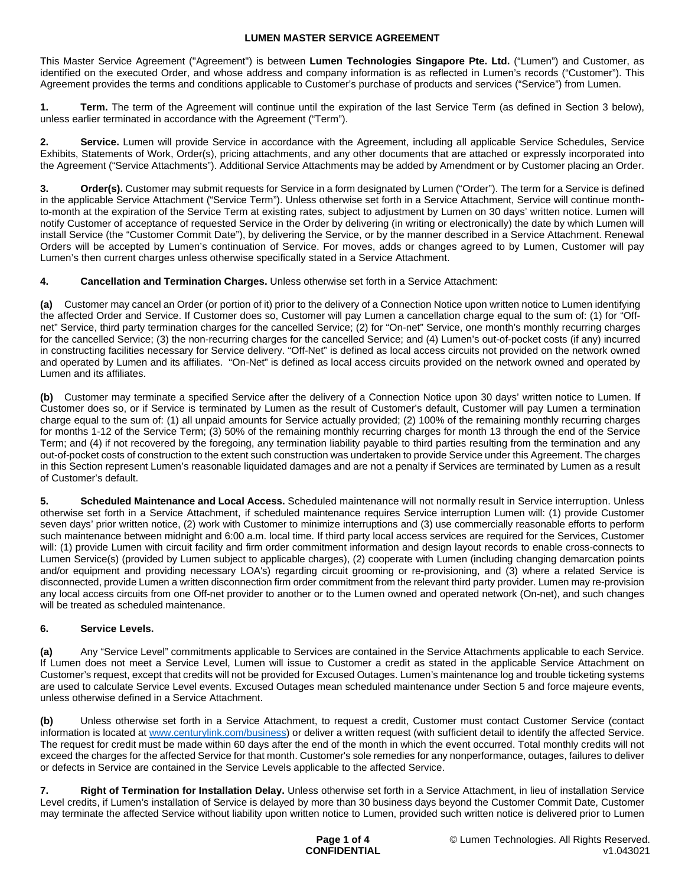This Master Service Agreement ("Agreement") is between **Lumen Technologies Singapore Pte. Ltd.** ("Lumen") and Customer, as identified on the executed Order, and whose address and company information is as reflected in Lumen's records ("Customer"). This Agreement provides the terms and conditions applicable to Customer's purchase of products and services ("Service") from Lumen.

**1. Term.** The term of the Agreement will continue until the expiration of the last Service Term (as defined in Section 3 below), unless earlier terminated in accordance with the Agreement ("Term").

**2. Service.** Lumen will provide Service in accordance with the Agreement, including all applicable Service Schedules, Service Exhibits, Statements of Work, Order(s), pricing attachments, and any other documents that are attached or expressly incorporated into the Agreement ("Service Attachments"). Additional Service Attachments may be added by Amendment or by Customer placing an Order.

**Order(s).** Customer may submit requests for Service in a form designated by Lumen ("Order"). The term for a Service is defined in the applicable Service Attachment ("Service Term"). Unless otherwise set forth in a Service Attachment, Service will continue monthto-month at the expiration of the Service Term at existing rates, subject to adjustment by Lumen on 30 days' written notice. Lumen will notify Customer of acceptance of requested Service in the Order by delivering (in writing or electronically) the date by which Lumen will install Service (the "Customer Commit Date"), by delivering the Service, or by the manner described in a Service Attachment. Renewal Orders will be accepted by Lumen's continuation of Service. For moves, adds or changes agreed to by Lumen, Customer will pay Lumen's then current charges unless otherwise specifically stated in a Service Attachment.

**4. Cancellation and Termination Charges.** Unless otherwise set forth in a Service Attachment:

**(a)** Customer may cancel an Order (or portion of it) prior to the delivery of a Connection Notice upon written notice to Lumen identifying the affected Order and Service. If Customer does so, Customer will pay Lumen a cancellation charge equal to the sum of: (1) for "Offnet" Service, third party termination charges for the cancelled Service; (2) for "On-net" Service, one month's monthly recurring charges for the cancelled Service; (3) the non-recurring charges for the cancelled Service; and (4) Lumen's out-of-pocket costs (if any) incurred in constructing facilities necessary for Service delivery. "Off-Net" is defined as local access circuits not provided on the network owned and operated by Lumen and its affiliates. "On-Net" is defined as local access circuits provided on the network owned and operated by Lumen and its affiliates.

**(b)** Customer may terminate a specified Service after the delivery of a Connection Notice upon 30 days' written notice to Lumen. If Customer does so, or if Service is terminated by Lumen as the result of Customer's default, Customer will pay Lumen a termination charge equal to the sum of: (1) all unpaid amounts for Service actually provided; (2) 100% of the remaining monthly recurring charges for months 1-12 of the Service Term; (3) 50% of the remaining monthly recurring charges for month 13 through the end of the Service Term; and (4) if not recovered by the foregoing, any termination liability payable to third parties resulting from the termination and any out-of-pocket costs of construction to the extent such construction was undertaken to provide Service under this Agreement. The charges in this Section represent Lumen's reasonable liquidated damages and are not a penalty if Services are terminated by Lumen as a result of Customer's default.

**5. Scheduled Maintenance and Local Access.** Scheduled maintenance will not normally result in Service interruption. Unless otherwise set forth in a Service Attachment, if scheduled maintenance requires Service interruption Lumen will: (1) provide Customer seven days' prior written notice, (2) work with Customer to minimize interruptions and (3) use commercially reasonable efforts to perform such maintenance between midnight and 6:00 a.m. local time. If third party local access services are required for the Services, Customer will: (1) provide Lumen with circuit facility and firm order commitment information and design layout records to enable cross-connects to Lumen Service(s) (provided by Lumen subject to applicable charges), (2) cooperate with Lumen (including changing demarcation points and/or equipment and providing necessary LOA's) regarding circuit grooming or re-provisioning, and (3) where a related Service is disconnected, provide Lumen a written disconnection firm order commitment from the relevant third party provider. Lumen may re-provision any local access circuits from one Off-net provider to another or to the Lumen owned and operated network (On-net), and such changes will be treated as scheduled maintenance.

# **6. Service Levels.**

**(a)** Any "Service Level" commitments applicable to Services are contained in the Service Attachments applicable to each Service. If Lumen does not meet a Service Level, Lumen will issue to Customer a credit as stated in the applicable Service Attachment on Customer's request, except that credits will not be provided for Excused Outages. Lumen's maintenance log and trouble ticketing systems are used to calculate Service Level events. Excused Outages mean scheduled maintenance under Section 5 and force majeure events, unless otherwise defined in a Service Attachment.

**(b)** Unless otherwise set forth in a Service Attachment, to request a credit, Customer must contact Customer Service (contact information is located at [www.centurylink.com/business](http://www.centurylink.com/business)) or deliver a written request (with sufficient detail to identify the affected Service. The request for credit must be made within 60 days after the end of the month in which the event occurred. Total monthly credits will not exceed the charges for the affected Service for that month. Customer's sole remedies for any nonperformance, outages, failures to deliver or defects in Service are contained in the Service Levels applicable to the affected Service.

**7. Right of Termination for Installation Delay.** Unless otherwise set forth in a Service Attachment, in lieu of installation Service Level credits, if Lumen's installation of Service is delayed by more than 30 business days beyond the Customer Commit Date, Customer may terminate the affected Service without liability upon written notice to Lumen, provided such written notice is delivered prior to Lumen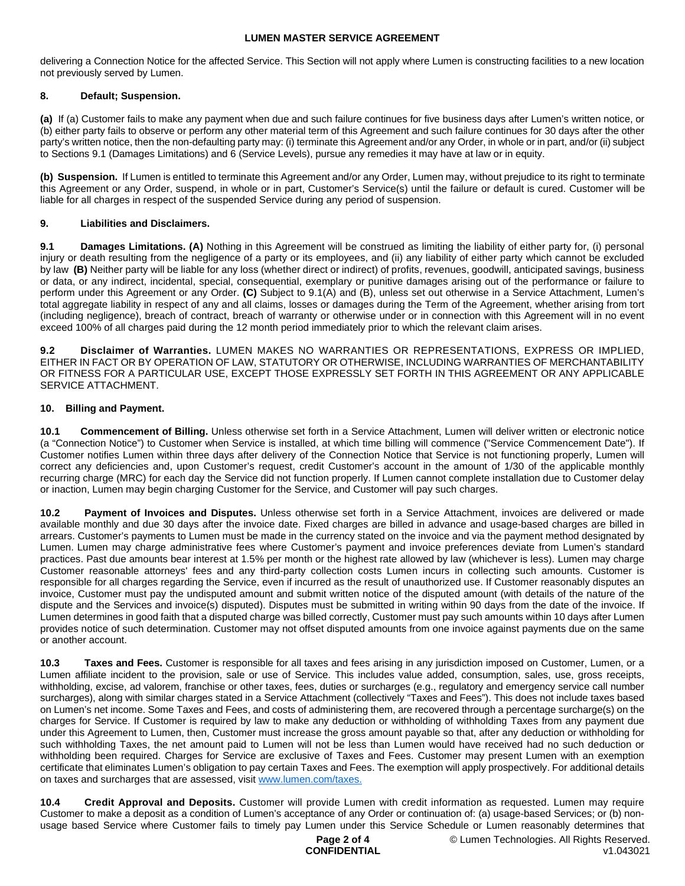delivering a Connection Notice for the affected Service. This Section will not apply where Lumen is constructing facilities to a new location not previously served by Lumen.

## **8. Default; Suspension.**

**(a)** If (a) Customer fails to make any payment when due and such failure continues for five business days after Lumen's written notice, or (b) either party fails to observe or perform any other material term of this Agreement and such failure continues for 30 days after the other party's written notice, then the non-defaulting party may: (i) terminate this Agreement and/or any Order, in whole or in part, and/or (ii) subject to Sections 9.1 (Damages Limitations) and 6 (Service Levels), pursue any remedies it may have at law or in equity.

**(b) Suspension.** If Lumen is entitled to terminate this Agreement and/or any Order, Lumen may, without prejudice to its right to terminate this Agreement or any Order, suspend, in whole or in part, Customer's Service(s) until the failure or default is cured. Customer will be liable for all charges in respect of the suspended Service during any period of suspension.

## **9. Liabilities and Disclaimers.**

**9.1 Damages Limitations. (A)** Nothing in this Agreement will be construed as limiting the liability of either party for, (i) personal injury or death resulting from the negligence of a party or its employees, and (ii) any liability of either party which cannot be excluded by law **(B)** Neither party will be liable for any loss (whether direct or indirect) of profits, revenues, goodwill, anticipated savings, business or data, or any indirect, incidental, special, consequential, exemplary or punitive damages arising out of the performance or failure to perform under this Agreement or any Order. **(C)** Subject to 9.1(A) and (B), unless set out otherwise in a Service Attachment, Lumen's total aggregate liability in respect of any and all claims, losses or damages during the Term of the Agreement, whether arising from tort (including negligence), breach of contract, breach of warranty or otherwise under or in connection with this Agreement will in no event exceed 100% of all charges paid during the 12 month period immediately prior to which the relevant claim arises.

**9.2 Disclaimer of Warranties.** LUMEN MAKES NO WARRANTIES OR REPRESENTATIONS, EXPRESS OR IMPLIED, EITHER IN FACT OR BY OPERATION OF LAW, STATUTORY OR OTHERWISE, INCLUDING WARRANTIES OF MERCHANTABILITY OR FITNESS FOR A PARTICULAR USE, EXCEPT THOSE EXPRESSLY SET FORTH IN THIS AGREEMENT OR ANY APPLICABLE SERVICE ATTACHMENT.

## **10. Billing and Payment.**

10.1 Commencement of Billing. Unless otherwise set forth in a Service Attachment, Lumen will deliver written or electronic notice (a "Connection Notice") to Customer when Service is installed, at which time billing will commence ("Service Commencement Date"). If Customer notifies Lumen within three days after delivery of the Connection Notice that Service is not functioning properly, Lumen will correct any deficiencies and, upon Customer's request, credit Customer's account in the amount of 1/30 of the applicable monthly recurring charge (MRC) for each day the Service did not function properly. If Lumen cannot complete installation due to Customer delay or inaction, Lumen may begin charging Customer for the Service, and Customer will pay such charges.

**10.2 Payment of Invoices and Disputes.** Unless otherwise set forth in a Service Attachment, invoices are delivered or made available monthly and due 30 days after the invoice date. Fixed charges are billed in advance and usage-based charges are billed in arrears. Customer's payments to Lumen must be made in the currency stated on the invoice and via the payment method designated by Lumen. Lumen may charge administrative fees where Customer's payment and invoice preferences deviate from Lumen's standard practices. Past due amounts bear interest at 1.5% per month or the highest rate allowed by law (whichever is less). Lumen may charge Customer reasonable attorneys' fees and any third-party collection costs Lumen incurs in collecting such amounts. Customer is responsible for all charges regarding the Service, even if incurred as the result of unauthorized use. If Customer reasonably disputes an invoice, Customer must pay the undisputed amount and submit written notice of the disputed amount (with details of the nature of the dispute and the Services and invoice(s) disputed). Disputes must be submitted in writing within 90 days from the date of the invoice. If Lumen determines in good faith that a disputed charge was billed correctly, Customer must pay such amounts within 10 days after Lumen provides notice of such determination. Customer may not offset disputed amounts from one invoice against payments due on the same or another account.

**10.3 Taxes and Fees.** Customer is responsible for all taxes and fees arising in any jurisdiction imposed on Customer, Lumen, or a Lumen affiliate incident to the provision, sale or use of Service. This includes value added, consumption, sales, use, gross receipts, withholding, excise, ad valorem, franchise or other taxes, fees, duties or surcharges (e.g., regulatory and emergency service call number surcharges), along with similar charges stated in a Service Attachment (collectively "Taxes and Fees"). This does not include taxes based on Lumen's net income. Some Taxes and Fees, and costs of administering them, are recovered through a percentage surcharge(s) on the charges for Service. If Customer is required by law to make any deduction or withholding of withholding Taxes from any payment due under this Agreement to Lumen, then, Customer must increase the gross amount payable so that, after any deduction or withholding for such withholding Taxes, the net amount paid to Lumen will not be less than Lumen would have received had no such deduction or withholding been required. Charges for Service are exclusive of Taxes and Fees. Customer may present Lumen with an exemption certificate that eliminates Lumen's obligation to pay certain Taxes and Fees. The exemption will apply prospectively. For additional details on taxes and surcharges that are assessed, visit [www.lumen.com/taxes](http://www.lumen.com/taxes).

**10.4 Credit Approval and Deposits.** Customer will provide Lumen with credit information as requested. Lumen may require Customer to make a deposit as a condition of Lumen's acceptance of any Order or continuation of: (a) usage-based Services; or (b) nonusage based Service where Customer fails to timely pay Lumen under this Service Schedule or Lumen reasonably determines that

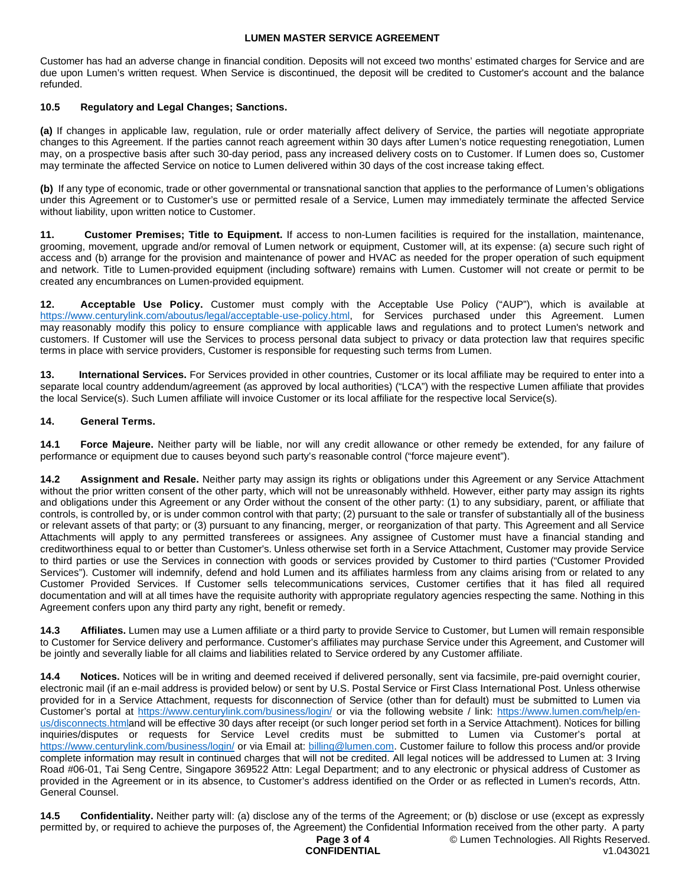Customer has had an adverse change in financial condition. Deposits will not exceed two months' estimated charges for Service and are due upon Lumen's written request. When Service is discontinued, the deposit will be credited to Customer's account and the balance refunded.

## **10.5 Regulatory and Legal Changes; Sanctions.**

**(a)** If changes in applicable law, regulation, rule or order materially affect delivery of Service, the parties will negotiate appropriate changes to this Agreement. If the parties cannot reach agreement within 30 days after Lumen's notice requesting renegotiation, Lumen may, on a prospective basis after such 30-day period, pass any increased delivery costs on to Customer. If Lumen does so, Customer may terminate the affected Service on notice to Lumen delivered within 30 days of the cost increase taking effect.

**(b)** If any type of economic, trade or other governmental or transnational sanction that applies to the performance of Lumen's obligations under this Agreement or to Customer's use or permitted resale of a Service, Lumen may immediately terminate the affected Service without liability, upon written notice to Customer.

**11. Customer Premises; Title to Equipment.** If access to non-Lumen facilities is required for the installation, maintenance, grooming, movement, upgrade and/or removal of Lumen network or equipment, Customer will, at its expense: (a) secure such right of access and (b) arrange for the provision and maintenance of power and HVAC as needed for the proper operation of such equipment and network. Title to Lumen-provided equipment (including software) remains with Lumen. Customer will not create or permit to be created any encumbrances on Lumen-provided equipment.

**12. Acceptable Use Policy.** Customer must comply with the Acceptable Use Policy ("AUP"), which is available at https://www.centurylink.com/aboutus/legal/acceptable-use-policy.html, for Services purchased under this Agreement. Lumen may reasonably modify this policy to ensure compliance with applicable laws and regulations and to protect Lumen's network and customers. If Customer will use the Services to process personal data subject to privacy or data protection law that requires specific terms in place with service providers, Customer is responsible for requesting such terms from Lumen.

**13. International Services.** For Services provided in other countries, Customer or its local affiliate may be required to enter into a separate local country addendum/agreement (as approved by local authorities) ("LCA") with the respective Lumen affiliate that provides the local Service(s). Such Lumen affiliate will invoice Customer or its local affiliate for the respective local Service(s).

## **14. General Terms.**

**14.1 Force Majeure.** Neither party will be liable, nor will any credit allowance or other remedy be extended, for any failure of performance or equipment due to causes beyond such party's reasonable control ("force majeure event").

**14.2 Assignment and Resale.** Neither party may assign its rights or obligations under this Agreement or any Service Attachment without the prior written consent of the other party, which will not be unreasonably withheld. However, either party may assign its rights and obligations under this Agreement or any Order without the consent of the other party: (1) to any subsidiary, parent, or affiliate that controls, is controlled by, or is under common control with that party; (2) pursuant to the sale or transfer of substantially all of the business or relevant assets of that party; or (3) pursuant to any financing, merger, or reorganization of that party. This Agreement and all Service Attachments will apply to any permitted transferees or assignees. Any assignee of Customer must have a financial standing and creditworthiness equal to or better than Customer's. Unless otherwise set forth in a Service Attachment, Customer may provide Service to third parties or use the Services in connection with goods or services provided by Customer to third parties ("Customer Provided Services"). Customer will indemnify, defend and hold Lumen and its affiliates harmless from any claims arising from or related to any Customer Provided Services. If Customer sells telecommunications services, Customer certifies that it has filed all required documentation and will at all times have the requisite authority with appropriate regulatory agencies respecting the same. Nothing in this Agreement confers upon any third party any right, benefit or remedy.

**14.3 Affiliates.** Lumen may use a Lumen affiliate or a third party to provide Service to Customer, but Lumen will remain responsible to Customer for Service delivery and performance. Customer's affiliates may purchase Service under this Agreement, and Customer will be jointly and severally liable for all claims and liabilities related to Service ordered by any Customer affiliate.

**14.4 Notices.** Notices will be in writing and deemed received if delivered personally, sent via facsimile, pre-paid overnight courier, electronic mail (if an e-mail address is provided below) or sent by U.S. Postal Service or First Class International Post. Unless otherwise provided for in a Service Attachment, requests for disconnection of Service (other than for default) must be submitted to Lumen via Customer's portal at <https://www.centurylink.com/business/login/> or via the following website / link: [https://www.lumen.com/help/en](https://www.lumen.com/help/en-us/disconnects.html)[us/disconnects.htmland will be effective 30 days after receipt \(or such longer period set forth in a Service Attachment\). Notices for billing](https://www.lumen.com/help/en-us/disconnects.html)  inquiries/disputes or requests for Service Level credits must be submitted to Lumen via Customer's portal at <https://www.centurylink.com/business/login/>or via Email at: [billing@lumen.com](mailto:billing@lumen.com). Customer failure to follow this process and/or provide complete information may result in continued charges that will not be credited. All legal notices will be addressed to Lumen at: 3 Irving Road #06-01, Tai Seng Centre, Singapore 369522 Attn: Legal Department; and to any electronic or physical address of Customer as provided in the Agreement or in its absence, to Customer's address identified on the Order or as reflected in Lumen's records, Attn. General Counsel.

**14.5 Confidentiality.** Neither party will: (a) disclose any of the terms of the Agreement; or (b) disclose or use (except as expressly permitted by, or required to achieve the purposes of, the Agreement) the Confidential Information received from the other party. A party

#### **Page 3 of 4 CONFIDENTIAL**